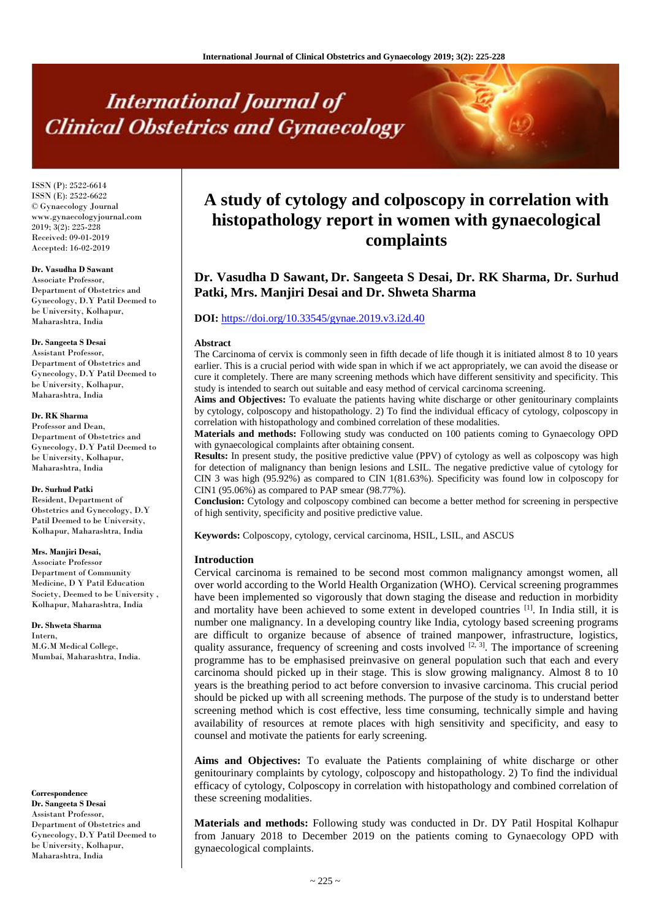# **International Journal of Clinical Obstetrics and Gynaecology**

ISSN (P): 2522-6614 ISSN (E): 2522-6622 © Gynaecology Journal www.gynaecologyjournal.com 2019; 3(2): 225-228 Received: 09-01-2019 Accepted: 16-02-2019

#### **Dr. Vasudha D Sawant**

Associate Professor, Department of Obstetrics and Gynecology, D.Y Patil Deemed to be University, Kolhapur, Maharashtra, India

#### **Dr. Sangeeta S Desai**

Assistant Professor, Department of Obstetrics and Gynecology, D.Y Patil Deemed to be University, Kolhapur, Maharashtra, India

#### **Dr. RK Sharma**

Professor and Dean, Department of Obstetrics and Gynecology, D.Y Patil Deemed to be University, Kolhapur, Maharashtra, India

#### **Dr. Surhud Patki**

Resident, Department of Obstetrics and Gynecology, D.Y Patil Deemed to be University, Kolhapur, Maharashtra, India

#### **Mrs. Manjiri Desai,**

Associate Professor Department of Community Medicine, D Y Patil Education Society, Deemed to be University , Kolhapur, Maharashtra, India

**Dr. Shweta Sharma** Intern, M.G.M Medical College, Mumbai, Maharashtra, India.

**Correspondence Dr. Sangeeta S Desai** Assistant Professor, Department of Obstetrics and Gynecology, D.Y Patil Deemed to be University, Kolhapur, Maharashtra, India

## **A study of cytology and colposcopy in correlation with histopathology report in women with gynaecological complaints**

### **Dr. Vasudha D Sawant, Dr. Sangeeta S Desai, Dr. RK Sharma, Dr. Surhud Patki, Mrs. Manjiri Desai and Dr. Shweta Sharma**

#### **DOI:** <https://doi.org/10.33545/gynae.2019.v3.i2d.40>

#### **Abstract**

The Carcinoma of cervix is commonly seen in fifth decade of life though it is initiated almost 8 to 10 years earlier. This is a crucial period with wide span in which if we act appropriately, we can avoid the disease or cure it completely. There are many screening methods which have different sensitivity and specificity. This study is intended to search out suitable and easy method of cervical carcinoma screening.

**Aims and Objectives:** To evaluate the patients having white discharge or other genitourinary complaints by cytology, colposcopy and histopathology. 2) To find the individual efficacy of cytology, colposcopy in correlation with histopathology and combined correlation of these modalities.

**Materials and methods:** Following study was conducted on 100 patients coming to Gynaecology OPD with gynaecological complaints after obtaining consent.

**Results:** In present study, the positive predictive value (PPV) of cytology as well as colposcopy was high for detection of malignancy than benign lesions and LSIL. The negative predictive value of cytology for CIN 3 was high (95.92%) as compared to CIN 1(81.63%). Specificity was found low in colposcopy for CIN1 (95.06%) as compared to PAP smear (98.77%).

**Conclusion:** Cytology and colposcopy combined can become a better method for screening in perspective of high sentivity, specificity and positive predictive value.

**Keywords:** Colposcopy, cytology, cervical carcinoma, HSIL, LSIL, and ASCUS

#### **Introduction**

Cervical carcinoma is remained to be second most common malignancy amongst women, all over world according to the World Health Organization (WHO). Cervical screening programmes have been implemented so vigorously that down staging the disease and reduction in morbidity and mortality have been achieved to some extent in developed countries <sup>[1]</sup>. In India still, it is number one malignancy. In a developing country like India, cytology based screening programs are difficult to organize because of absence of trained manpower, infrastructure, logistics, quality assurance, frequency of screening and costs involved  $[2, 3]$ . The importance of screening programme has to be emphasised preinvasive on general population such that each and every carcinoma should picked up in their stage. This is slow growing malignancy. Almost 8 to 10 years is the breathing period to act before conversion to invasive carcinoma. This crucial period should be picked up with all screening methods. The purpose of the study is to understand better screening method which is cost effective, less time consuming, technically simple and having availability of resources at remote places with high sensitivity and specificity, and easy to counsel and motivate the patients for early screening.

**Aims and Objectives:** To evaluate the Patients complaining of white discharge or other genitourinary complaints by cytology, colposcopy and histopathology. 2) To find the individual efficacy of cytology, Colposcopy in correlation with histopathology and combined correlation of these screening modalities.

**Materials and methods:** Following study was conducted in Dr. DY Patil Hospital Kolhapur from January 2018 to December 2019 on the patients coming to Gynaecology OPD with gynaecological complaints.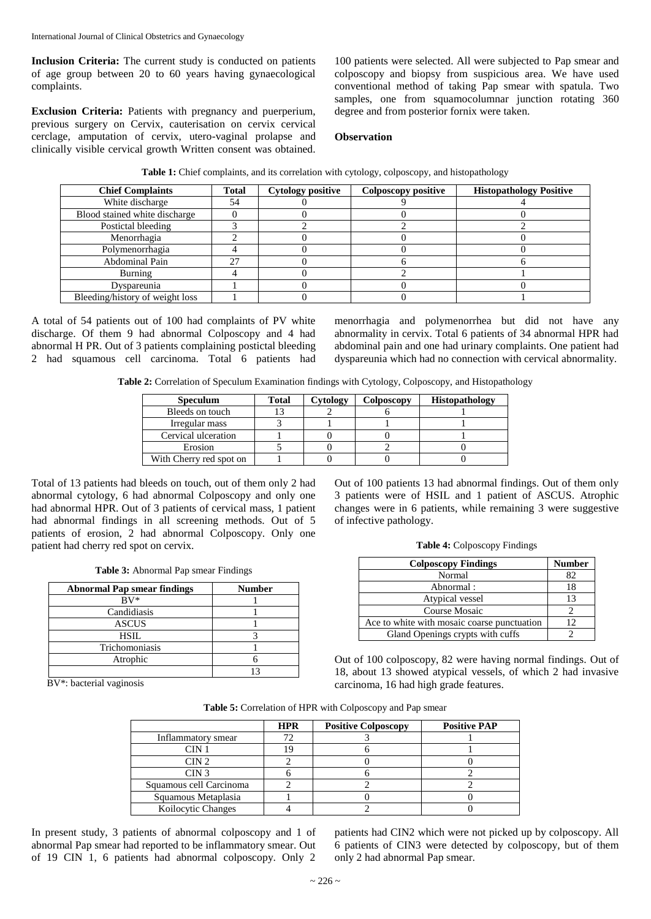**Inclusion Criteria:** The current study is conducted on patients of age group between 20 to 60 years having gynaecological complaints.

**Exclusion Criteria:** Patients with pregnancy and puerperium, previous surgery on Cervix, cauterisation on cervix cervical cerclage, amputation of cervix, utero-vaginal prolapse and clinically visible cervical growth Written consent was obtained.

100 patients were selected. All were subjected to Pap smear and colposcopy and biopsy from suspicious area. We have used conventional method of taking Pap smear with spatula. Two samples, one from squamocolumnar junction rotating 360 degree and from posterior fornix were taken.

#### **Observation**

| Table 1: Chief complaints, and its correlation with cytology, colposcopy, and histopathology |  |  |
|----------------------------------------------------------------------------------------------|--|--|
|----------------------------------------------------------------------------------------------|--|--|

| <b>Chief Complaints</b>         | <b>Total</b> | <b>Cytology positive</b> | Colposcopy positive | <b>Histopathology Positive</b> |
|---------------------------------|--------------|--------------------------|---------------------|--------------------------------|
| White discharge                 | 54           |                          |                     |                                |
| Blood stained white discharge   |              |                          |                     |                                |
| Postictal bleeding              |              |                          |                     |                                |
| Menorrhagia                     |              |                          |                     |                                |
| Polymenorrhagia                 |              |                          |                     |                                |
| <b>Abdominal Pain</b>           | 27           |                          |                     |                                |
| Burning                         |              |                          |                     |                                |
| Dyspareunia                     |              |                          |                     |                                |
| Bleeding/history of weight loss |              |                          |                     |                                |

A total of 54 patients out of 100 had complaints of PV white discharge. Of them 9 had abnormal Colposcopy and 4 had abnormal H PR. Out of 3 patients complaining postictal bleeding 2 had squamous cell carcinoma. Total 6 patients had menorrhagia and polymenorrhea but did not have any abnormality in cervix. Total 6 patients of 34 abnormal HPR had abdominal pain and one had urinary complaints. One patient had dyspareunia which had no connection with cervical abnormality.

**Table 2:** Correlation of Speculum Examination findings with Cytology, Colposcopy, and Histopathology

| <b>Speculum</b>         | <b>Total</b> | Cytology | Colposcopy | <b>Histopathology</b> |
|-------------------------|--------------|----------|------------|-----------------------|
| Bleeds on touch         |              |          |            |                       |
| Irregular mass          |              |          |            |                       |
| Cervical ulceration     |              |          |            |                       |
| Erosion                 |              |          |            |                       |
| With Cherry red spot on |              |          |            |                       |

Total of 13 patients had bleeds on touch, out of them only 2 had abnormal cytology, 6 had abnormal Colposcopy and only one had abnormal HPR. Out of 3 patients of cervical mass, 1 patient had abnormal findings in all screening methods. Out of 5 patients of erosion, 2 had abnormal Colposcopy. Only one patient had cherry red spot on cervix.

| Table 3: Abnormal Pap smear Findings |  |  |
|--------------------------------------|--|--|
|--------------------------------------|--|--|

| <b>Abnormal Pap smear findings</b> | <b>Number</b> |
|------------------------------------|---------------|
| $\rm BV^*$                         |               |
| Candidiasis                        |               |
| <b>ASCUS</b>                       |               |
| HSIL                               |               |
| Trichomoniasis                     |               |
| Atrophic                           |               |
|                                    |               |

BV\*: bacterial vaginosis

Out of 100 patients 13 had abnormal findings. Out of them only 3 patients were of HSIL and 1 patient of ASCUS. Atrophic changes were in 6 patients, while remaining 3 were suggestive of infective pathology.

|  |  |  | Table 4: Colposcopy Findings |
|--|--|--|------------------------------|
|--|--|--|------------------------------|

| <b>Colposcopy Findings</b>                  | <b>Number</b> |
|---------------------------------------------|---------------|
| Normal                                      | 82.           |
| Abnormal:                                   | 18            |
| Atypical vessel                             | 13            |
| Course Mosaic                               |               |
| Ace to white with mosaic coarse punctuation | 12            |
| Gland Openings crypts with cuffs            |               |

Out of 100 colposcopy, 82 were having normal findings. Out of 18, about 13 showed atypical vessels, of which 2 had invasive carcinoma, 16 had high grade features.

|                           | <b>HPR</b> | <b>Positive Colposcopy</b> | <b>Positive PAP</b> |
|---------------------------|------------|----------------------------|---------------------|
| Inflammatory smear        | 72         |                            |                     |
| CIN 1                     |            |                            |                     |
| CIN2                      |            |                            |                     |
| CIN <sub>3</sub>          |            |                            |                     |
| Squamous cell Carcinoma   |            |                            |                     |
| Squamous Metaplasia       |            |                            |                     |
| <b>Koilocytic Changes</b> |            |                            |                     |

In present study, 3 patients of abnormal colposcopy and 1 of abnormal Pap smear had reported to be inflammatory smear. Out of 19 CIN 1, 6 patients had abnormal colposcopy. Only 2 patients had CIN2 which were not picked up by colposcopy. All 6 patients of CIN3 were detected by colposcopy, but of them only 2 had abnormal Pap smear.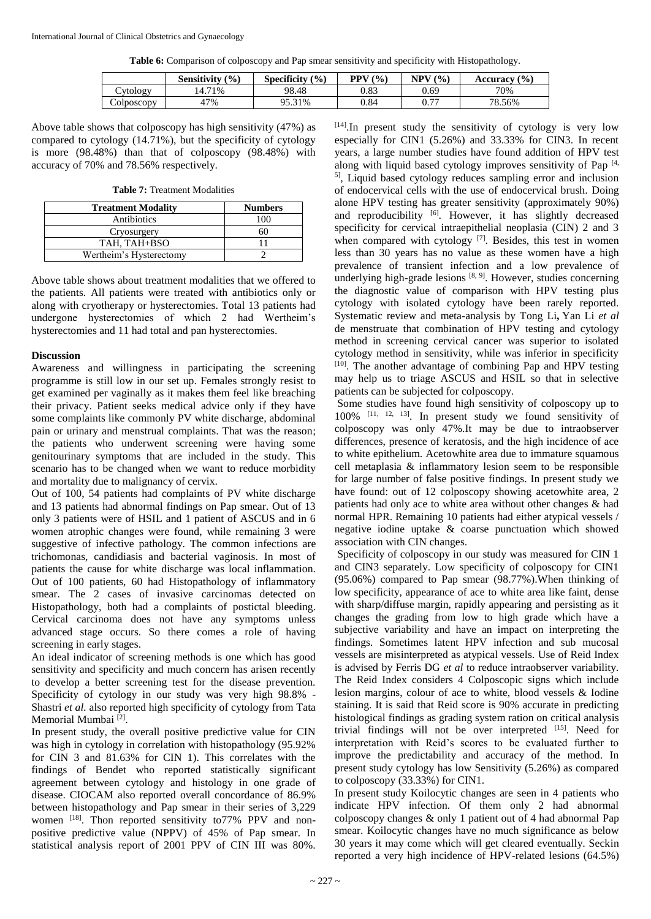**Table 6:** Comparison of colposcopy and Pap smear sensitivity and specificity with Histopathology.

|                      | (9/0)<br>Sensitivitv | <b>Specificity</b><br>$\frac{9}{0}$ | (9/0)<br>PPV | $(0)_{0}$<br>NPV       | $\frac{(0)}{0}$<br><b>Accuracy</b> |
|----------------------|----------------------|-------------------------------------|--------------|------------------------|------------------------------------|
| `ytology             | 14.71%               | 98.48                               | 0.83         | 0.69                   | 70%                                |
| $\bigcirc$ olposcopy | '7%                  | 95.31%                              | 0.84         | $\overline{ }$<br>U.I. | 78.56%                             |

Above table shows that colposcopy has high sensitivity (47%) as compared to cytology (14.71%), but the specificity of cytology is more (98.48%) than that of colposcopy (98.48%) with accuracy of 70% and 78.56% respectively.

**Table 7:** Treatment Modalities

| <b>Treatment Modality</b> | <b>Numbers</b> |
|---------------------------|----------------|
| Antibiotics               | 100            |
| Cryosurgery               | 60             |
| TAH, TAH+BSO              |                |
| Wertheim's Hysterectomy   |                |

Above table shows about treatment modalities that we offered to the patients. All patients were treated with antibiotics only or along with cryotherapy or hysterectomies. Total 13 patients had undergone hysterectomies of which 2 had Wertheim's hysterectomies and 11 had total and pan hysterectomies.

#### **Discussion**

Awareness and willingness in participating the screening programme is still low in our set up. Females strongly resist to get examined per vaginally as it makes them feel like breaching their privacy. Patient seeks medical advice only if they have some complaints like commonly PV white discharge, abdominal pain or urinary and menstrual complaints. That was the reason; the patients who underwent screening were having some genitourinary symptoms that are included in the study. This scenario has to be changed when we want to reduce morbidity and mortality due to malignancy of cervix.

Out of 100, 54 patients had complaints of PV white discharge and 13 patients had abnormal findings on Pap smear. Out of 13 only 3 patients were of HSIL and 1 patient of ASCUS and in 6 women atrophic changes were found, while remaining 3 were suggestive of infective pathology. The common infections are trichomonas, candidiasis and bacterial vaginosis. In most of patients the cause for white discharge was local inflammation. Out of 100 patients, 60 had Histopathology of inflammatory smear. The 2 cases of invasive carcinomas detected on Histopathology, both had a complaints of postictal bleeding. Cervical carcinoma does not have any symptoms unless advanced stage occurs. So there comes a role of having screening in early stages.

An ideal indicator of screening methods is one which has good sensitivity and specificity and much concern has arisen recently to develop a better screening test for the disease prevention. Specificity of cytology in our study was very high 98.8% - Shastri *et al.* also reported high specificity of cytology from Tata Memorial Mumbai<sup>[2]</sup>.

In present study, the overall positive predictive value for CIN was high in cytology in correlation with histopathology (95.92% for CIN 3 and 81.63% for CIN 1). This correlates with the findings of Bendet who reported statistically significant agreement between cytology and histology in one grade of disease. CIOCAM also reported overall concordance of 86.9% between histopathology and Pap smear in their series of 3,229 women [18]. Thon reported sensitivity to 77% PPV and nonpositive predictive value (NPPV) of 45% of Pap smear. In statistical analysis report of 2001 PPV of CIN III was 80%.

 $[14]$ . In present study the sensitivity of cytology is very low especially for CIN1 (5.26%) and 33.33% for CIN3. In recent years, a large number studies have found addition of HPV test along with liquid based cytology improves sensitivity of Pap  $[4, 6]$ 5] , Liquid based cytology reduces sampling error and inclusion of endocervical cells with the use of endocervical brush. Doing alone HPV testing has greater sensitivity (approximately 90%) and reproducibility [6]. However, it has slightly decreased specificity for cervical intraepithelial neoplasia (CIN) 2 and 3 when compared with cytology  $[7]$ . Besides, this test in women less than 30 years has no value as these women have a high prevalence of transient infection and a low prevalence of underlying high-grade lesions<sup>[8, 9]</sup>. However, studies concerning the diagnostic value of comparison with HPV testing plus cytology with isolated cytology have been rarely reported. Systematic review and meta-analysis by Tong Li**,** Yan Li *et al* de menstruate that combination of HPV testing and cytology method in screening cervical cancer was superior to isolated cytology method in sensitivity, while was inferior in specificity [10]. The another advantage of combining Pap and HPV testing may help us to triage ASCUS and HSIL so that in selective patients can be subjected for colposcopy.

Some studies have found high sensitivity of colposcopy up to 100% [11, 12, 13] . In present study we found sensitivity of colposcopy was only 47%.It may be due to intraobserver differences, presence of keratosis, and the high incidence of ace to white epithelium. Acetowhite area due to immature squamous cell metaplasia & inflammatory lesion seem to be responsible for large number of false positive findings. In present study we have found: out of 12 colposcopy showing acetowhite area, 2 patients had only ace to white area without other changes & had normal HPR. Remaining 10 patients had either atypical vessels / negative iodine uptake & coarse punctuation which showed association with CIN changes.

Specificity of colposcopy in our study was measured for CIN 1 and CIN3 separately. Low specificity of colposcopy for CIN1 (95.06%) compared to Pap smear (98.77%).When thinking of low specificity, appearance of ace to white area like faint, dense with sharp/diffuse margin, rapidly appearing and persisting as it changes the grading from low to high grade which have a subjective variability and have an impact on interpreting the findings. Sometimes latent HPV infection and sub mucosal vessels are misinterpreted as atypical vessels. Use of Reid Index is advised by Ferris DG *et al* to reduce intraobserver variability. The Reid Index considers 4 Colposcopic signs which include lesion margins, colour of ace to white, blood vessels & Iodine staining. It is said that Reid score is 90% accurate in predicting histological findings as grading system ration on critical analysis trivial findings will not be over interpreted [15]. Need for interpretation with Reid's scores to be evaluated further to improve the predictability and accuracy of the method. In present study cytology has low Sensitivity (5.26%) as compared to colposcopy (33.33%) for CIN1.

In present study Koilocytic changes are seen in 4 patients who indicate HPV infection. Of them only 2 had abnormal colposcopy changes & only 1 patient out of 4 had abnormal Pap smear. Koilocytic changes have no much significance as below 30 years it may come which will get cleared eventually. Seckin reported a very high incidence of HPV-related lesions (64.5%)